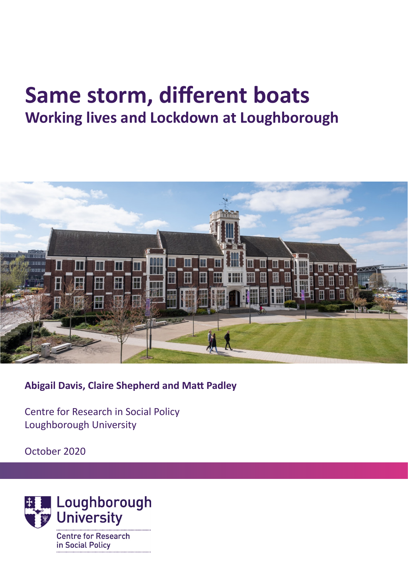# **Same storm, different boats Working lives and Lockdown at Loughborough**



**Abigail Davis, Claire Shepherd and Matt Padley**

Centre for Research in Social Policy Loughborough University

October 2020

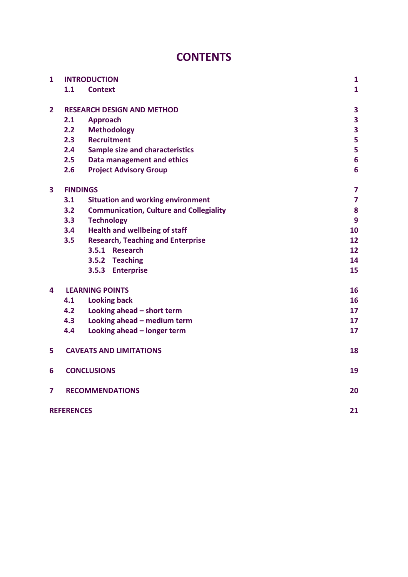# **CONTENTS**

| $\mathbf{1}$            | <b>INTRODUCTION</b>               |                                                | $\mathbf{1}$            |
|-------------------------|-----------------------------------|------------------------------------------------|-------------------------|
|                         | 1.1                               | <b>Context</b>                                 | $\mathbf{1}$            |
| $\overline{2}$          | <b>RESEARCH DESIGN AND METHOD</b> |                                                | 3                       |
|                         | 2.1                               | <b>Approach</b>                                | $\overline{\mathbf{3}}$ |
|                         | 2.2                               | <b>Methodology</b>                             | 3                       |
|                         | 2.3                               | <b>Recruitment</b>                             | 5                       |
|                         | 2.4                               | <b>Sample size and characteristics</b>         | 5                       |
|                         | 2.5                               | Data management and ethics                     | $6\phantom{1}6$         |
|                         | 2.6                               | <b>Project Advisory Group</b>                  | $6\phantom{1}6$         |
| $\overline{\mathbf{3}}$ | <b>FINDINGS</b>                   |                                                | 7                       |
|                         | 3.1                               | <b>Situation and working environment</b>       | $\overline{\mathbf{z}}$ |
|                         | 3.2                               | <b>Communication, Culture and Collegiality</b> | 8                       |
|                         | 3.3                               | <b>Technology</b>                              | 9                       |
|                         | 3.4                               | <b>Health and wellbeing of staff</b>           | 10                      |
|                         | 3.5                               | <b>Research, Teaching and Enterprise</b>       | 12                      |
|                         |                                   | 3.5.1 Research                                 | 12                      |
|                         |                                   | 3.5.2 Teaching                                 | 14                      |
|                         |                                   | 3.5.3 Enterprise                               | 15                      |
| 4                       | <b>LEARNING POINTS</b>            |                                                | 16                      |
|                         | 4.1                               | <b>Looking back</b>                            | 16                      |
|                         | 4.2                               | Looking ahead - short term                     | 17                      |
|                         | 4.3                               | Looking ahead - medium term                    | 17                      |
|                         | 4.4                               | Looking ahead - longer term                    | 17                      |
| 5                       | <b>CAVEATS AND LIMITATIONS</b>    |                                                | 18                      |
| 6                       | <b>CONCLUSIONS</b>                |                                                | 19                      |
| 7                       | <b>RECOMMENDATIONS</b>            |                                                |                         |
|                         | <b>REFERENCES</b>                 |                                                | 21                      |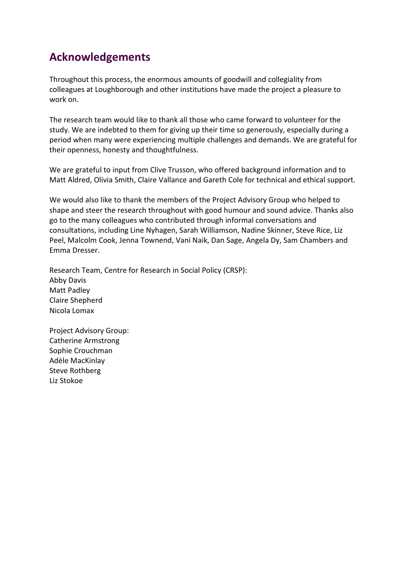## **Acknowledgements**

Throughout this process, the enormous amounts of goodwill and collegiality from colleagues at Loughborough and other institutions have made the project a pleasure to work on.

The research team would like to thank all those who came forward to volunteer for the study. We are indebted to them for giving up their time so generously, especially during a period when many were experiencing multiple challenges and demands. We are grateful for their openness, honesty and thoughtfulness.

We are grateful to input from Clive Trusson, who offered background information and to Matt Aldred, Olivia Smith, Claire Vallance and Gareth Cole for technical and ethical support.

We would also like to thank the members of the Project Advisory Group who helped to shape and steer the research throughout with good humour and sound advice. Thanks also go to the many colleagues who contributed through informal conversations and consultations, including Line Nyhagen, Sarah Williamson, Nadine Skinner, Steve Rice, Liz Peel, Malcolm Cook, Jenna Townend, Vani Naik, Dan Sage, Angela Dy, Sam Chambers and Emma Dresser.

Research Team, Centre for Research in Social Policy (CRSP): Abby Davis Matt Padley Claire Shepherd Nicola Lomax

<span id="page-3-0"></span>Project Advisory Group: Catherine Armstrong Sophie Crouchman Adèle MacKinlay Steve Rothberg Liz Stokoe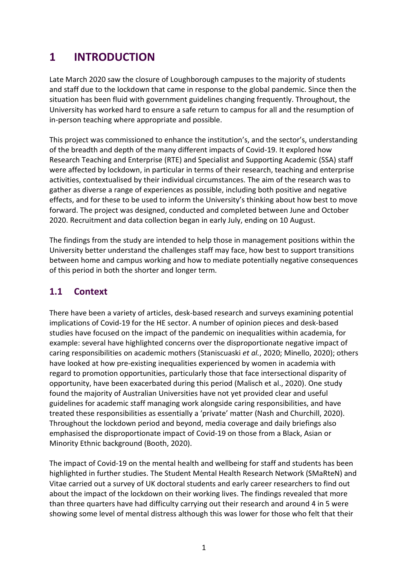# **1 INTRODUCTION**

Late March 2020 saw the closure of Loughborough campuses to the majority of students and staff due to the lockdown that came in response to the global pandemic. Since then the situation has been fluid with government guidelines changing frequently. Throughout, the University has worked hard to ensure a safe return to campus for all and the resumption of in-person teaching where appropriate and possible.

This project was commissioned to enhance the institution's, and the sector's, understanding of the breadth and depth of the many different impacts of Covid-19. It explored how Research Teaching and Enterprise (RTE) and Specialist and Supporting Academic (SSA) staff were affected by lockdown, in particular in terms of their research, teaching and enterprise activities, contextualised by their individual circumstances. The aim of the research was to gather as diverse a range of experiences as possible, including both positive and negative effects, and for these to be used to inform the University's thinking about how best to move forward. The project was designed, conducted and completed between June and October 2020. Recruitment and data collection began in early July, ending on 10 August.

The findings from the study are intended to help those in management positions within the University better understand the challenges staff may face, how best to support transitions between home and campus working and how to mediate potentially negative consequences of this period in both the shorter and longer term.

## <span id="page-4-0"></span>**1.1 Context**

There have been a variety of articles, desk-based research and surveys examining potential implications of Covid-19 for the HE sector. A number of opinion pieces and desk-based studies have focused on the impact of the pandemic on inequalities within academia, for example: several have highlighted concerns over the disproportionate negative impact of caring responsibilities on academic mothers (Staniscuaski *et al.*, 2020; Minello, 2020); others have looked at how pre-existing inequalities experienced by women in academia with regard to promotion opportunities, particularly those that face intersectional disparity of opportunity, have been exacerbated during this period (Malisch et al., 2020). One study found the majority of Australian Universities have not yet provided clear and useful guidelines for academic staff managing work alongside caring responsibilities, and have treated these responsibilities as essentially a 'private' matter (Nash and Churchill, 2020). Throughout the lockdown period and beyond, media coverage and daily briefings also emphasised the disproportionate impact of Covid-19 on those from a Black, Asian or Minority Ethnic background (Booth, 2020).

The impact of Covid-19 on the mental health and wellbeing for staff and students has been highlighted in further studies. The Student Mental Health Research Network (SMaRteN) and Vitae carried out a survey of UK doctoral students and early career researchers to find out about the impact of the lockdown on their working lives. The findings revealed that more than three quarters have had difficulty carrying out their research and around 4 in 5 were showing some level of mental distress although this was lower for those who felt that their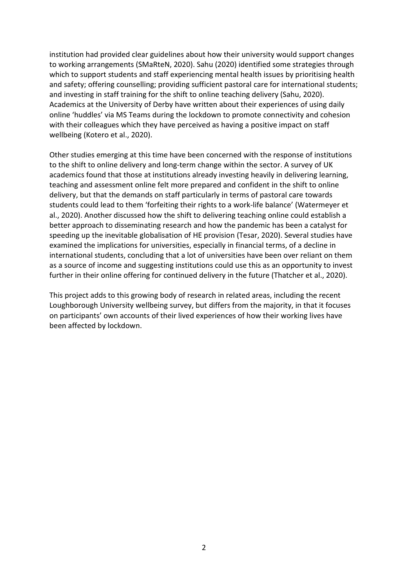institution had provided clear guidelines about how their university would support changes to working arrangements (SMaRteN, 2020). Sahu (2020) identified some strategies through which to support students and staff experiencing mental health issues by prioritising health and safety; offering counselling; providing sufficient pastoral care for international students; and investing in staff training for the shift to online teaching delivery (Sahu, 2020). Academics at the University of Derby have written about their experiences of using daily online 'huddles' via MS Teams during the lockdown to promote connectivity and cohesion with their colleagues which they have perceived as having a positive impact on staff wellbeing (Kotero et al., 2020).

Other studies emerging at this time have been concerned with the response of institutions to the shift to online delivery and long-term change within the sector. A survey of UK academics found that those at institutions already investing heavily in delivering learning, teaching and assessment online felt more prepared and confident in the shift to online delivery, but that the demands on staff particularly in terms of pastoral care towards students could lead to them 'forfeiting their rights to a work-life balance' (Watermeyer et al., 2020). Another discussed how the shift to delivering teaching online could establish a better approach to disseminating research and how the pandemic has been a catalyst for speeding up the inevitable globalisation of HE provision (Tesar, 2020). Several studies have examined the implications for universities, especially in financial terms, of a decline in international students, concluding that a lot of universities have been over reliant on them as a source of income and suggesting institutions could use this as an opportunity to invest further in their online offering for continued delivery in the future (Thatcher et al., 2020).

This project adds to this growing body of research in related areas, including the recent Loughborough University wellbeing survey, but differs from the majority, in that it focuses on participants' own accounts of their lived experiences of how their working lives have been affected by lockdown.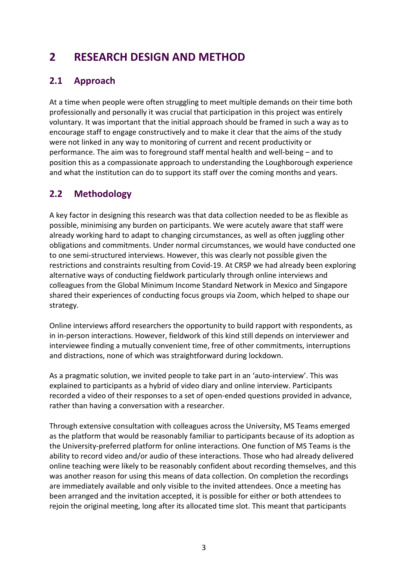# <span id="page-6-0"></span>**2 RESEARCH DESIGN AND METHOD**

## <span id="page-6-1"></span>**2.1 Approach**

At a time when people were often struggling to meet multiple demands on their time both professionally and personally it was crucial that participation in this project was entirely voluntary. It was important that the initial approach should be framed in such a way as to encourage staff to engage constructively and to make it clear that the aims of the study were not linked in any way to monitoring of current and recent productivity or performance. The aim was to foreground staff mental health and well-being – and to position this as a compassionate approach to understanding the Loughborough experience and what the institution can do to support its staff over the coming months and years.

### <span id="page-6-2"></span>**2.2 Methodology**

A key factor in designing this research was that data collection needed to be as flexible as possible, minimising any burden on participants. We were acutely aware that staff were already working hard to adapt to changing circumstances, as well as often juggling other obligations and commitments. Under normal circumstances, we would have conducted one to one semi-structured interviews. However, this was clearly not possible given the restrictions and constraints resulting from Covid-19. At CRSP we had already been exploring alternative ways of conducting fieldwork particularly through online interviews and colleagues from the Global Minimum Income Standard Network in Mexico and Singapore shared their experiences of conducting focus groups via Zoom, which helped to shape our strategy.

Online interviews afford researchers the opportunity to build rapport with respondents, as in in-person interactions. However, fieldwork of this kind still depends on interviewer and interviewee finding a mutually convenient time, free of other commitments, interruptions and distractions, none of which was straightforward during lockdown.

As a pragmatic solution, we invited people to take part in an 'auto-interview'. This was explained to participants as a hybrid of video diary and online interview. Participants recorded a video of their responses to a set of open-ended questions provided in advance, rather than having a conversation with a researcher.

Through extensive consultation with colleagues across the University, MS Teams emerged as the platform that would be reasonably familiar to participants because of its adoption as the University-preferred platform for online interactions. One function of MS Teams is the ability to record video and/or audio of these interactions. Those who had already delivered online teaching were likely to be reasonably confident about recording themselves, and this was another reason for using this means of data collection. On completion the recordings are immediately available and only visible to the invited attendees. Once a meeting has been arranged and the invitation accepted, it is possible for either or both attendees to rejoin the original meeting, long after its allocated time slot. This meant that participants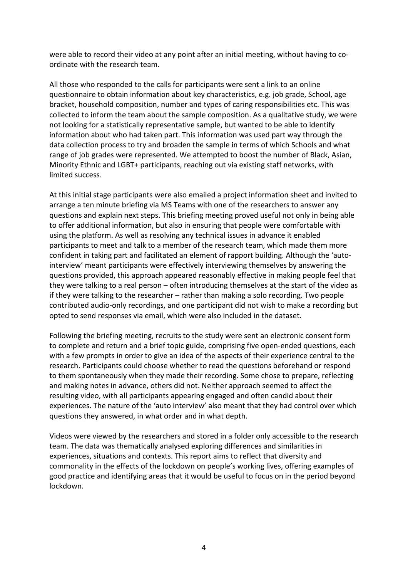were able to record their video at any point after an initial meeting, without having to coordinate with the research team.

All those who responded to the calls for participants were sent a link to an online questionnaire to obtain information about key characteristics, e.g. job grade, School, age bracket, household composition, number and types of caring responsibilities etc. This was collected to inform the team about the sample composition. As a qualitative study, we were not looking for a statistically representative sample, but wanted to be able to identify information about who had taken part. This information was used part way through the data collection process to try and broaden the sample in terms of which Schools and what range of job grades were represented. We attempted to boost the number of Black, Asian, Minority Ethnic and LGBT+ participants, reaching out via existing staff networks, with limited success.

At this initial stage participants were also emailed a project information sheet and invited to arrange a ten minute briefing via MS Teams with one of the researchers to answer any questions and explain next steps. This briefing meeting proved useful not only in being able to offer additional information, but also in ensuring that people were comfortable with using the platform. As well as resolving any technical issues in advance it enabled participants to meet and talk to a member of the research team, which made them more confident in taking part and facilitated an element of rapport building. Although the 'autointerview' meant participants were effectively interviewing themselves by answering the questions provided, this approach appeared reasonably effective in making people feel that they were talking to a real person – often introducing themselves at the start of the video as if they were talking to the researcher – rather than making a solo recording. Two people contributed audio-only recordings, and one participant did not wish to make a recording but opted to send responses via email, which were also included in the dataset.

Following the briefing meeting, recruits to the study were sent an electronic consent form to complete and return and a brief topic guide, comprising five open-ended questions, each with a few prompts in order to give an idea of the aspects of their experience central to the research. Participants could choose whether to read the questions beforehand or respond to them spontaneously when they made their recording. Some chose to prepare, reflecting and making notes in advance, others did not. Neither approach seemed to affect the resulting video, with all participants appearing engaged and often candid about their experiences. The nature of the 'auto interview' also meant that they had control over which questions they answered, in what order and in what depth.

<span id="page-7-0"></span>Videos were viewed by the researchers and stored in a folder only accessible to the research team. The data was thematically analysed exploring differences and similarities in experiences, situations and contexts. This report aims to reflect that diversity and commonality in the effects of the lockdown on people's working lives, offering examples of good practice and identifying areas that it would be useful to focus on in the period beyond lockdown.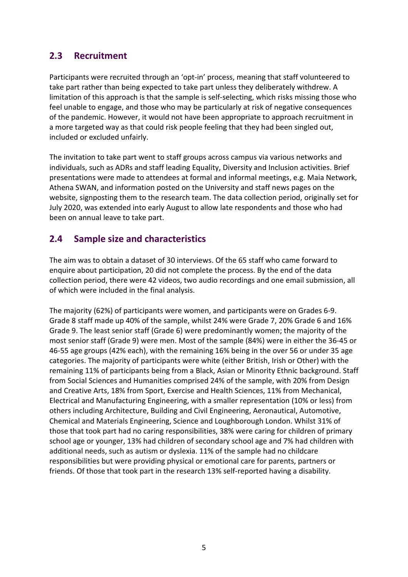#### **2.3 Recruitment**

Participants were recruited through an 'opt-in' process, meaning that staff volunteered to take part rather than being expected to take part unless they deliberately withdrew. A limitation of this approach is that the sample is self-selecting, which risks missing those who feel unable to engage, and those who may be particularly at risk of negative consequences of the pandemic. However, it would not have been appropriate to approach recruitment in a more targeted way as that could risk people feeling that they had been singled out, included or excluded unfairly.

The invitation to take part went to staff groups across campus via various networks and individuals, such as ADRs and staff leading Equality, Diversity and Inclusion activities. Brief presentations were made to attendees at formal and informal meetings, e.g. Maia Network, Athena SWAN, and information posted on the University and staff news pages on the website, signposting them to the research team. The data collection period, originally set for July 2020, was extended into early August to allow late respondents and those who had been on annual leave to take part.

#### <span id="page-8-0"></span>**2.4 Sample size and characteristics**

The aim was to obtain a dataset of 30 interviews. Of the 65 staff who came forward to enquire about participation, 20 did not complete the process. By the end of the data collection period, there were 42 videos, two audio recordings and one email submission, all of which were included in the final analysis.

<span id="page-8-1"></span>The majority (62%) of participants were women, and participants were on Grades 6-9. Grade 8 staff made up 40% of the sample, whilst 24% were Grade 7, 20% Grade 6 and 16% Grade 9. The least senior staff (Grade 6) were predominantly women; the majority of the most senior staff (Grade 9) were men. Most of the sample (84%) were in either the 36-45 or 46-55 age groups (42% each), with the remaining 16% being in the over 56 or under 35 age categories. The majority of participants were white (either British, Irish or Other) with the remaining 11% of participants being from a Black, Asian or Minority Ethnic background. Staff from Social Sciences and Humanities comprised 24% of the sample, with 20% from Design and Creative Arts, 18% from Sport, Exercise and Health Sciences, 11% from Mechanical, Electrical and Manufacturing Engineering, with a smaller representation (10% or less) from others including Architecture, Building and Civil Engineering, Aeronautical, Automotive, Chemical and Materials Engineering, Science and Loughborough London. Whilst 31% of those that took part had no caring responsibilities, 38% were caring for children of primary school age or younger, 13% had children of secondary school age and 7% had children with additional needs, such as autism or dyslexia. 11% of the sample had no childcare responsibilities but were providing physical or emotional care for parents, partners or friends. Of those that took part in the research 13% self-reported having a disability.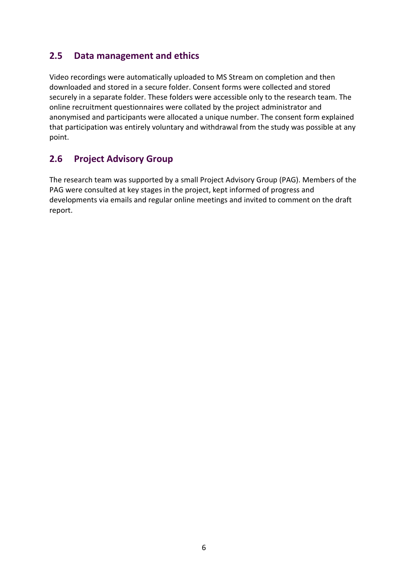#### **2.5 Data management and ethics**

Video recordings were automatically uploaded to MS Stream on completion and then downloaded and stored in a secure folder. Consent forms were collected and stored securely in a separate folder. These folders were accessible only to the research team. The online recruitment questionnaires were collated by the project administrator and anonymised and participants were allocated a unique number. The consent form explained that participation was entirely voluntary and withdrawal from the study was possible at any point.

#### <span id="page-9-0"></span>**2.6 Project Advisory Group**

The research team was supported by a small Project Advisory Group (PAG). Members of the PAG were consulted at key stages in the project, kept informed of progress and developments via emails and regular online meetings and invited to comment on the draft report.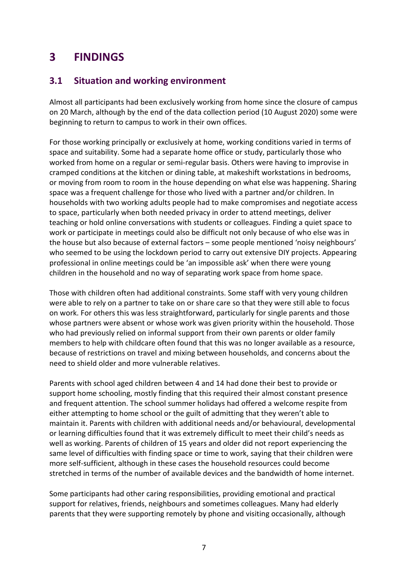## <span id="page-10-0"></span>**3 FINDINGS**

#### <span id="page-10-1"></span>**3.1 Situation and working environment**

Almost all participants had been exclusively working from home since the closure of campus on 20 March, although by the end of the data collection period (10 August 2020) some were beginning to return to campus to work in their own offices.

For those working principally or exclusively at home, working conditions varied in terms of space and suitability. Some had a separate home office or study, particularly those who worked from home on a regular or semi-regular basis. Others were having to improvise in cramped conditions at the kitchen or dining table, at makeshift workstations in bedrooms, or moving from room to room in the house depending on what else was happening. Sharing space was a frequent challenge for those who lived with a partner and/or children. In households with two working adults people had to make compromises and negotiate access to space, particularly when both needed privacy in order to attend meetings, deliver teaching or hold online conversations with students or colleagues. Finding a quiet space to work or participate in meetings could also be difficult not only because of who else was in the house but also because of external factors – some people mentioned 'noisy neighbours' who seemed to be using the lockdown period to carry out extensive DIY projects. Appearing professional in online meetings could be 'an impossible ask' when there were young children in the household and no way of separating work space from home space.

Those with children often had additional constraints. Some staff with very young children were able to rely on a partner to take on or share care so that they were still able to focus on work. For others this was less straightforward, particularly for single parents and those whose partners were absent or whose work was given priority within the household. Those who had previously relied on informal support from their own parents or older family members to help with childcare often found that this was no longer available as a resource, because of restrictions on travel and mixing between households, and concerns about the need to shield older and more vulnerable relatives.

Parents with school aged children between 4 and 14 had done their best to provide or support home schooling, mostly finding that this required their almost constant presence and frequent attention. The school summer holidays had offered a welcome respite from either attempting to home school or the guilt of admitting that they weren't able to maintain it. Parents with children with additional needs and/or behavioural, developmental or learning difficulties found that it was extremely difficult to meet their child's needs as well as working. Parents of children of 15 years and older did not report experiencing the same level of difficulties with finding space or time to work, saying that their children were more self-sufficient, although in these cases the household resources could become stretched in terms of the number of available devices and the bandwidth of home internet.

Some participants had other caring responsibilities, providing emotional and practical support for relatives, friends, neighbours and sometimes colleagues. Many had elderly parents that they were supporting remotely by phone and visiting occasionally, although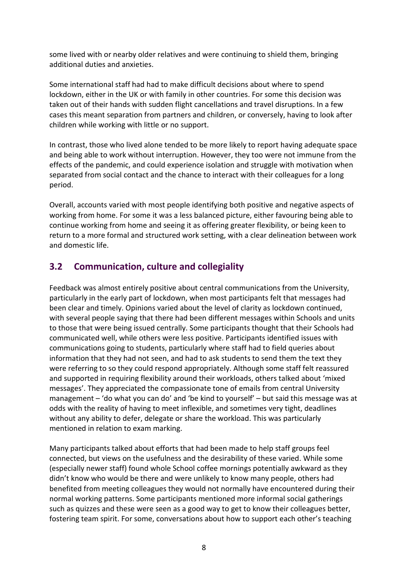some lived with or nearby older relatives and were continuing to shield them, bringing additional duties and anxieties.

Some international staff had had to make difficult decisions about where to spend lockdown, either in the UK or with family in other countries. For some this decision was taken out of their hands with sudden flight cancellations and travel disruptions. In a few cases this meant separation from partners and children, or conversely, having to look after children while working with little or no support.

In contrast, those who lived alone tended to be more likely to report having adequate space and being able to work without interruption. However, they too were not immune from the effects of the pandemic, and could experience isolation and struggle with motivation when separated from social contact and the chance to interact with their colleagues for a long period.

Overall, accounts varied with most people identifying both positive and negative aspects of working from home. For some it was a less balanced picture, either favouring being able to continue working from home and seeing it as offering greater flexibility, or being keen to return to a more formal and structured work setting, with a clear delineation between work and domestic life.

### <span id="page-11-0"></span>**3.2 Communication, culture and collegiality**

Feedback was almost entirely positive about central communications from the University, particularly in the early part of lockdown, when most participants felt that messages had been clear and timely. Opinions varied about the level of clarity as lockdown continued, with several people saying that there had been different messages within Schools and units to those that were being issued centrally. Some participants thought that their Schools had communicated well, while others were less positive. Participants identified issues with communications going to students, particularly where staff had to field queries about information that they had not seen, and had to ask students to send them the text they were referring to so they could respond appropriately. Although some staff felt reassured and supported in requiring flexibility around their workloads, others talked about 'mixed messages'. They appreciated the compassionate tone of emails from central University management – 'do what you can do' and 'be kind to yourself' – but said this message was at odds with the reality of having to meet inflexible, and sometimes very tight, deadlines without any ability to defer, delegate or share the workload. This was particularly mentioned in relation to exam marking.

Many participants talked about efforts that had been made to help staff groups feel connected, but views on the usefulness and the desirability of these varied. While some (especially newer staff) found whole School coffee mornings potentially awkward as they didn't know who would be there and were unlikely to know many people, others had benefited from meeting colleagues they would not normally have encountered during their normal working patterns. Some participants mentioned more informal social gatherings such as quizzes and these were seen as a good way to get to know their colleagues better, fostering team spirit. For some, conversations about how to support each other's teaching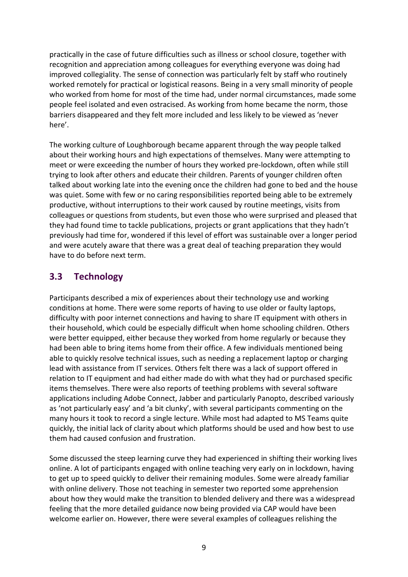practically in the case of future difficulties such as illness or school closure, together with recognition and appreciation among colleagues for everything everyone was doing had improved collegiality. The sense of connection was particularly felt by staff who routinely worked remotely for practical or logistical reasons. Being in a very small minority of people who worked from home for most of the time had, under normal circumstances, made some people feel isolated and even ostracised. As working from home became the norm, those barriers disappeared and they felt more included and less likely to be viewed as 'never here'.

The working culture of Loughborough became apparent through the way people talked about their working hours and high expectations of themselves. Many were attempting to meet or were exceeding the number of hours they worked pre-lockdown, often while still trying to look after others and educate their children. Parents of younger children often talked about working late into the evening once the children had gone to bed and the house was quiet. Some with few or no caring responsibilities reported being able to be extremely productive, without interruptions to their work caused by routine meetings, visits from colleagues or questions from students, but even those who were surprised and pleased that they had found time to tackle publications, projects or grant applications that they hadn't previously had time for, wondered if this level of effort was sustainable over a longer period and were acutely aware that there was a great deal of teaching preparation they would have to do before next term.

#### <span id="page-12-0"></span>**3.3 Technology**

Participants described a mix of experiences about their technology use and working conditions at home. There were some reports of having to use older or faulty laptops, difficulty with poor internet connections and having to share IT equipment with others in their household, which could be especially difficult when home schooling children. Others were better equipped, either because they worked from home regularly or because they had been able to bring items home from their office. A few individuals mentioned being able to quickly resolve technical issues, such as needing a replacement laptop or charging lead with assistance from IT services. Others felt there was a lack of support offered in relation to IT equipment and had either made do with what they had or purchased specific items themselves. There were also reports of teething problems with several software applications including Adobe Connect, Jabber and particularly Panopto, described variously as 'not particularly easy' and 'a bit clunky', with several participants commenting on the many hours it took to record a single lecture. While most had adapted to MS Teams quite quickly, the initial lack of clarity about which platforms should be used and how best to use them had caused confusion and frustration.

Some discussed the steep learning curve they had experienced in shifting their working lives online. A lot of participants engaged with online teaching very early on in lockdown, having to get up to speed quickly to deliver their remaining modules. Some were already familiar with online delivery. Those not teaching in semester two reported some apprehension about how they would make the transition to blended delivery and there was a widespread feeling that the more detailed guidance now being provided via CAP would have been welcome earlier on. However, there were several examples of colleagues relishing the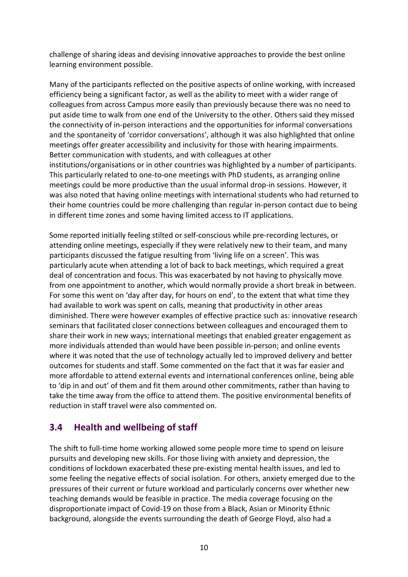challenge of sharing ideas and devising innovative approaches to provide the best online learning environment possible.

Many of the participants reflected on the positive aspects of online working, with increased efficiency being a significant factor, as well as the ability to meet with a wider range of colleagues from across Campus more easily than previously because there was no need to put aside time to walk from one end of the University to the other. Others said they missed the connectivity of in-person interactions and the opportunities for informal conversations and the spontaneity of 'corridor conversations', although it was also highlighted that online meetings offer greater accessibility and inclusivity for those with hearing impairments. Better communication with students, and with colleagues at other institutions/organisations or in other countries was highlighted by a number of participants. This particularly related to one-to-one meetings with PhD students, as arranging online meetings could be more productive than the usual informal drop-in sessions. However, it was also noted that having online meetings with international students who had returned to their home countries could be more challenging than regular in-person contact due to being in different time zones and some having limited access to IT applications.

Some reported initially feeling stilted or self-conscious while pre-recording lectures, or attending online meetings, especially if they were relatively new to their team, and many participants discussed the fatigue resulting from 'living life on a screen'. This was particularly acute when attending a lot of back to back meetings, which required a great deal of concentration and focus. This was exacerbated by not having to physically move from one appointment to another, which would normally provide a short break in between. For some this went on 'day after day, for hours on end', to the extent that what time they had available to work was spent on calls, meaning that productivity in other areas diminished. There were however examples of effective practice such as: innovative research seminars that facilitated closer connections between colleagues and encouraged them to share their work in new ways; international meetings that enabled greater engagement as more individuals attended than would have been possible in-person; and online events where it was noted that the use of technology actually led to improved delivery and better outcomes for students and staff. Some commented on the fact that it was far easier and more affordable to attend external events and international conferences online, being able to 'dip in and out' of them and fit them around other commitments, rather than having to take the time away from the office to attend them. The positive environmental benefits of reduction in staff travel were also commented on.

### <span id="page-13-0"></span>**3.4 Health and wellbeing of staff**

The shift to full-time home working allowed some people more time to spend on leisure pursuits and developing new skills. For those living with anxiety and depression, the conditions of lockdown exacerbated these pre-existing mental health issues, and led to some feeling the negative effects of social isolation. For others, anxiety emerged due to the pressures of their current or future workload and particularly concerns over whether new teaching demands would be feasible in practice. The media coverage focusing on the disproportionate impact of Covid-19 on those from a Black, Asian or Minority Ethnic background, alongside the events surrounding the death of George Floyd, also had a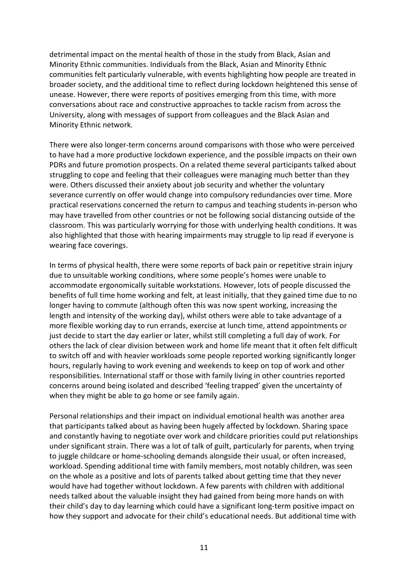detrimental impact on the mental health of those in the study from Black, Asian and Minority Ethnic communities. Individuals from the Black, Asian and Minority Ethnic communities felt particularly vulnerable, with events highlighting how people are treated in broader society, and the additional time to reflect during lockdown heightened this sense of unease. However, there were reports of positives emerging from this time, with more conversations about race and constructive approaches to tackle racism from across the University, along with messages of support from colleagues and the Black Asian and Minority Ethnic network.

There were also longer-term concerns around comparisons with those who were perceived to have had a more productive lockdown experience, and the possible impacts on their own PDRs and future promotion prospects. On a related theme several participants talked about struggling to cope and feeling that their colleagues were managing much better than they were. Others discussed their anxiety about job security and whether the voluntary severance currently on offer would change into compulsory redundancies over time. More practical reservations concerned the return to campus and teaching students in-person who may have travelled from other countries or not be following social distancing outside of the classroom. This was particularly worrying for those with underlying health conditions. It was also highlighted that those with hearing impairments may struggle to lip read if everyone is wearing face coverings.

In terms of physical health, there were some reports of back pain or repetitive strain injury due to unsuitable working conditions, where some people's homes were unable to accommodate ergonomically suitable workstations. However, lots of people discussed the benefits of full time home working and felt, at least initially, that they gained time due to no longer having to commute (although often this was now spent working, increasing the length and intensity of the working day), whilst others were able to take advantage of a more flexible working day to run errands, exercise at lunch time, attend appointments or just decide to start the day earlier or later, whilst still completing a full day of work. For others the lack of clear division between work and home life meant that it often felt difficult to switch off and with heavier workloads some people reported working significantly longer hours, regularly having to work evening and weekends to keep on top of work and other responsibilities. International staff or those with family living in other countries reported concerns around being isolated and described 'feeling trapped' given the uncertainty of when they might be able to go home or see family again.

Personal relationships and their impact on individual emotional health was another area that participants talked about as having been hugely affected by lockdown. Sharing space and constantly having to negotiate over work and childcare priorities could put relationships under significant strain. There was a lot of talk of guilt, particularly for parents, when trying to juggle childcare or home-schooling demands alongside their usual, or often increased, workload. Spending additional time with family members, most notably children, was seen on the whole as a positive and lots of parents talked about getting time that they never would have had together without lockdown. A few parents with children with additional needs talked about the valuable insight they had gained from being more hands on with their child's day to day learning which could have a significant long-term positive impact on how they support and advocate for their child's educational needs. But additional time with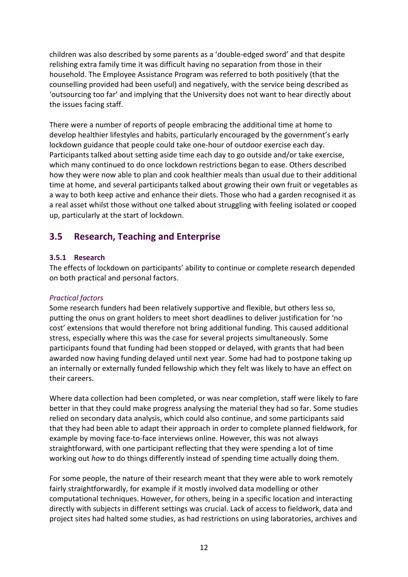children was also described by some parents as a 'double-edged sword' and that despite relishing extra family time it was difficult having no separation from those in their household. The Employee Assistance Program was referred to both positively (that the counselling provided had been useful) and negatively, with the service being described as 'outsourcing too far' and implying that the University does not want to hear directly about the issues facing staff.

There were a number of reports of people embracing the additional time at home to develop healthier lifestyles and habits, particularly encouraged by the government's early lockdown guidance that people could take one-hour of outdoor exercise each day. Participants talked about setting aside time each day to go outside and/or take exercise, which many continued to do once lockdown restrictions began to ease. Others described how they were now able to plan and cook healthier meals than usual due to their additional time at home, and several participants talked about growing their own fruit or vegetables as a way to both keep active and enhance their diets. Those who had a garden recognised it as a real asset whilst those without one talked about struggling with feeling isolated or cooped up, particularly at the start of lockdown.

### <span id="page-15-0"></span>**3.5 Research, Teaching and Enterprise**

#### <span id="page-15-1"></span>**3.5.1 Research**

The effects of lockdown on participants' ability to continue or complete research depended on both practical and personal factors.

#### *Practical factors*

Some research funders had been relatively supportive and flexible, but others less so, putting the onus on grant holders to meet short deadlines to deliver justification for 'no cost' extensions that would therefore not bring additional funding. This caused additional stress, especially where this was the case for several projects simultaneously. Some participants found that funding had been stopped or delayed, with grants that had been awarded now having funding delayed until next year. Some had had to postpone taking up an internally or externally funded fellowship which they felt was likely to have an effect on their careers.

Where data collection had been completed, or was near completion, staff were likely to fare better in that they could make progress analysing the material they had so far. Some studies relied on secondary data analysis, which could also continue, and some participants said that they had been able to adapt their approach in order to complete planned fieldwork, for example by moving face-to-face interviews online. However, this was not always straightforward, with one participant reflecting that they were spending a lot of time working out *how* to do things differently instead of spending time actually doing them.

For some people, the nature of their research meant that they were able to work remotely fairly straightforwardly, for example if it mostly involved data modelling or other computational techniques. However, for others, being in a specific location and interacting directly with subjects in different settings was crucial. Lack of access to fieldwork, data and project sites had halted some studies, as had restrictions on using laboratories, archives and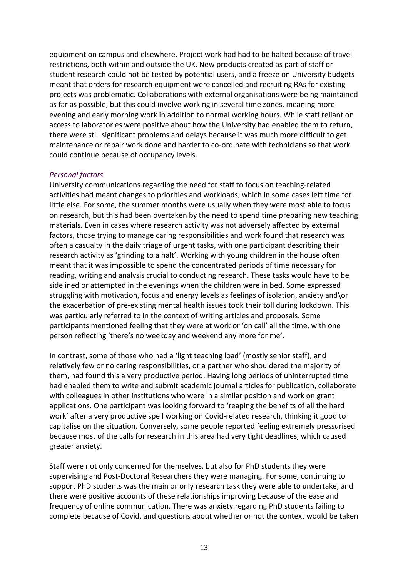equipment on campus and elsewhere. Project work had had to be halted because of travel restrictions, both within and outside the UK. New products created as part of staff or student research could not be tested by potential users, and a freeze on University budgets meant that orders for research equipment were cancelled and recruiting RAs for existing projects was problematic. Collaborations with external organisations were being maintained as far as possible, but this could involve working in several time zones, meaning more evening and early morning work in addition to normal working hours. While staff reliant on access to laboratories were positive about how the University had enabled them to return, there were still significant problems and delays because it was much more difficult to get maintenance or repair work done and harder to co-ordinate with technicians so that work could continue because of occupancy levels.

#### *Personal factors*

University communications regarding the need for staff to focus on teaching-related activities had meant changes to priorities and workloads, which in some cases left time for little else. For some, the summer months were usually when they were most able to focus on research, but this had been overtaken by the need to spend time preparing new teaching materials. Even in cases where research activity was not adversely affected by external factors, those trying to manage caring responsibilities and work found that research was often a casualty in the daily triage of urgent tasks, with one participant describing their research activity as 'grinding to a halt'. Working with young children in the house often meant that it was impossible to spend the concentrated periods of time necessary for reading, writing and analysis crucial to conducting research. These tasks would have to be sidelined or attempted in the evenings when the children were in bed. Some expressed struggling with motivation, focus and energy levels as feelings of isolation, anxiety and\or the exacerbation of pre-existing mental health issues took their toll during lockdown. This was particularly referred to in the context of writing articles and proposals. Some participants mentioned feeling that they were at work or 'on call' all the time, with one person reflecting 'there's no weekday and weekend any more for me'.

In contrast, some of those who had a 'light teaching load' (mostly senior staff), and relatively few or no caring responsibilities, or a partner who shouldered the majority of them, had found this a very productive period. Having long periods of uninterrupted time had enabled them to write and submit academic journal articles for publication, collaborate with colleagues in other institutions who were in a similar position and work on grant applications. One participant was looking forward to 'reaping the benefits of all the hard work' after a very productive spell working on Covid-related research, thinking it good to capitalise on the situation. Conversely, some people reported feeling extremely pressurised because most of the calls for research in this area had very tight deadlines, which caused greater anxiety.

Staff were not only concerned for themselves, but also for PhD students they were supervising and Post-Doctoral Researchers they were managing. For some, continuing to support PhD students was the main or only research task they were able to undertake, and there were positive accounts of these relationships improving because of the ease and frequency of online communication. There was anxiety regarding PhD students failing to complete because of Covid, and questions about whether or not the context would be taken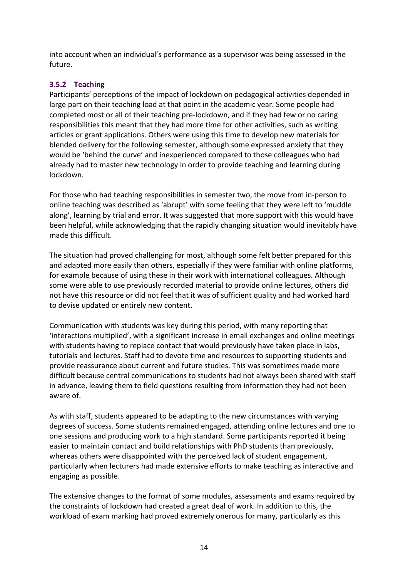into account when an individual's performance as a supervisor was being assessed in the future.

#### <span id="page-17-0"></span>**3.5.2 Teaching**

Participants' perceptions of the impact of lockdown on pedagogical activities depended in large part on their teaching load at that point in the academic year. Some people had completed most or all of their teaching pre-lockdown, and if they had few or no caring responsibilities this meant that they had more time for other activities, such as writing articles or grant applications. Others were using this time to develop new materials for blended delivery for the following semester, although some expressed anxiety that they would be 'behind the curve' and inexperienced compared to those colleagues who had already had to master new technology in order to provide teaching and learning during lockdown.

For those who had teaching responsibilities in semester two, the move from in-person to online teaching was described as 'abrupt' with some feeling that they were left to 'muddle along', learning by trial and error. It was suggested that more support with this would have been helpful, while acknowledging that the rapidly changing situation would inevitably have made this difficult.

The situation had proved challenging for most, although some felt better prepared for this and adapted more easily than others, especially if they were familiar with online platforms, for example because of using these in their work with international colleagues. Although some were able to use previously recorded material to provide online lectures, others did not have this resource or did not feel that it was of sufficient quality and had worked hard to devise updated or entirely new content.

Communication with students was key during this period, with many reporting that 'interactions multiplied', with a significant increase in email exchanges and online meetings with students having to replace contact that would previously have taken place in labs, tutorials and lectures. Staff had to devote time and resources to supporting students and provide reassurance about current and future studies. This was sometimes made more difficult because central communications to students had not always been shared with staff in advance, leaving them to field questions resulting from information they had not been aware of.

As with staff, students appeared to be adapting to the new circumstances with varying degrees of success. Some students remained engaged, attending online lectures and one to one sessions and producing work to a high standard. Some participants reported it being easier to maintain contact and build relationships with PhD students than previously, whereas others were disappointed with the perceived lack of student engagement, particularly when lecturers had made extensive efforts to make teaching as interactive and engaging as possible.

The extensive changes to the format of some modules, assessments and exams required by the constraints of lockdown had created a great deal of work. In addition to this, the workload of exam marking had proved extremely onerous for many, particularly as this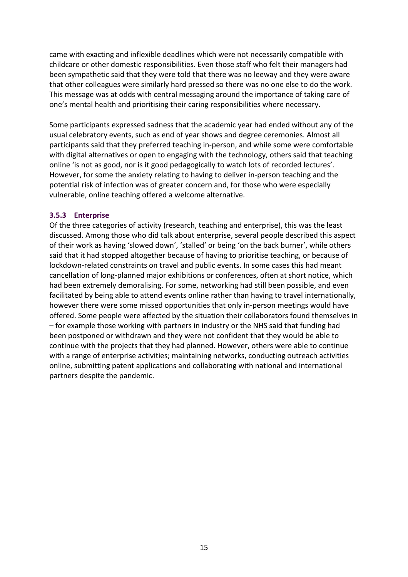came with exacting and inflexible deadlines which were not necessarily compatible with childcare or other domestic responsibilities. Even those staff who felt their managers had been sympathetic said that they were told that there was no leeway and they were aware that other colleagues were similarly hard pressed so there was no one else to do the work. This message was at odds with central messaging around the importance of taking care of one's mental health and prioritising their caring responsibilities where necessary.

Some participants expressed sadness that the academic year had ended without any of the usual celebratory events, such as end of year shows and degree ceremonies. Almost all participants said that they preferred teaching in-person, and while some were comfortable with digital alternatives or open to engaging with the technology, others said that teaching online 'is not as good, nor is it good pedagogically to watch lots of recorded lectures'. However, for some the anxiety relating to having to deliver in-person teaching and the potential risk of infection was of greater concern and, for those who were especially vulnerable, online teaching offered a welcome alternative.

#### <span id="page-18-0"></span>**3.5.3 Enterprise**

Of the three categories of activity (research, teaching and enterprise), this was the least discussed. Among those who did talk about enterprise, several people described this aspect of their work as having 'slowed down', 'stalled' or being 'on the back burner', while others said that it had stopped altogether because of having to prioritise teaching, or because of lockdown-related constraints on travel and public events. In some cases this had meant cancellation of long-planned major exhibitions or conferences, often at short notice, which had been extremely demoralising. For some, networking had still been possible, and even facilitated by being able to attend events online rather than having to travel internationally, however there were some missed opportunities that only in-person meetings would have offered. Some people were affected by the situation their collaborators found themselves in – for example those working with partners in industry or the NHS said that funding had been postponed or withdrawn and they were not confident that they would be able to continue with the projects that they had planned. However, others were able to continue with a range of enterprise activities; maintaining networks, conducting outreach activities online, submitting patent applications and collaborating with national and international partners despite the pandemic.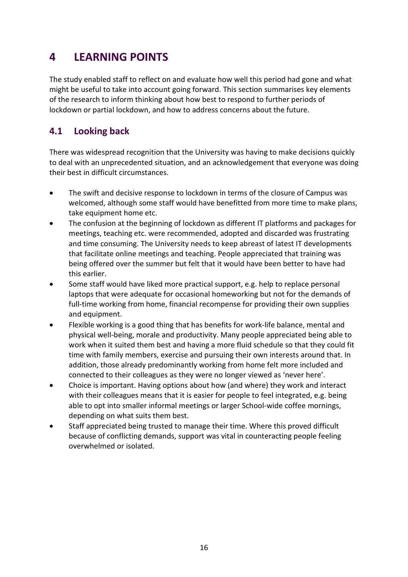## <span id="page-19-0"></span>**4 LEARNING POINTS**

The study enabled staff to reflect on and evaluate how well this period had gone and what might be useful to take into account going forward. This section summarises key elements of the research to inform thinking about how best to respond to further periods of lockdown or partial lockdown, and how to address concerns about the future.

## <span id="page-19-1"></span>**4.1 Looking back**

There was widespread recognition that the University was having to make decisions quickly to deal with an unprecedented situation, and an acknowledgement that everyone was doing their best in difficult circumstances.

- The swift and decisive response to lockdown in terms of the closure of Campus was welcomed, although some staff would have benefitted from more time to make plans, take equipment home etc.
- The confusion at the beginning of lockdown as different IT platforms and packages for meetings, teaching etc. were recommended, adopted and discarded was frustrating and time consuming. The University needs to keep abreast of latest IT developments that facilitate online meetings and teaching. People appreciated that training was being offered over the summer but felt that it would have been better to have had this earlier.
- Some staff would have liked more practical support, e.g. help to replace personal laptops that were adequate for occasional homeworking but not for the demands of full-time working from home, financial recompense for providing their own supplies and equipment.
- Flexible working is a good thing that has benefits for work-life balance, mental and physical well-being, morale and productivity. Many people appreciated being able to work when it suited them best and having a more fluid schedule so that they could fit time with family members, exercise and pursuing their own interests around that. In addition, those already predominantly working from home felt more included and connected to their colleagues as they were no longer viewed as 'never here'.
- Choice is important. Having options about how (and where) they work and interact with their colleagues means that it is easier for people to feel integrated, e.g. being able to opt into smaller informal meetings or larger School-wide coffee mornings, depending on what suits them best.
- <span id="page-19-2"></span>• Staff appreciated being trusted to manage their time. Where this proved difficult because of conflicting demands, support was vital in counteracting people feeling overwhelmed or isolated.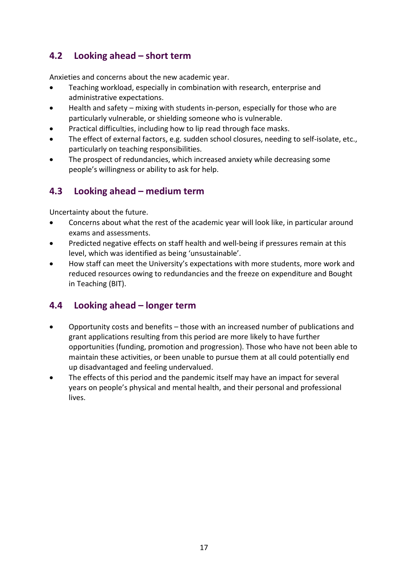## **4.2 Looking ahead – short term**

Anxieties and concerns about the new academic year.

- Teaching workload, especially in combination with research, enterprise and administrative expectations.
- Health and safety mixing with students in-person, especially for those who are particularly vulnerable, or shielding someone who is vulnerable.
- Practical difficulties, including how to lip read through face masks.
- The effect of external factors, e.g. sudden school closures, needing to self-isolate, etc., particularly on teaching responsibilities.
- The prospect of redundancies, which increased anxiety while decreasing some people's willingness or ability to ask for help.

### <span id="page-20-0"></span>**4.3 Looking ahead – medium term**

Uncertainty about the future.

- Concerns about what the rest of the academic year will look like, in particular around exams and assessments.
- Predicted negative effects on staff health and well-being if pressures remain at this level, which was identified as being 'unsustainable'.
- How staff can meet the University's expectations with more students, more work and reduced resources owing to redundancies and the freeze on expenditure and Bought in Teaching (BIT).

#### <span id="page-20-1"></span>**4.4 Looking ahead – longer term**

- Opportunity costs and benefits those with an increased number of publications and grant applications resulting from this period are more likely to have further opportunities (funding, promotion and progression). Those who have not been able to maintain these activities, or been unable to pursue them at all could potentially end up disadvantaged and feeling undervalued.
- The effects of this period and the pandemic itself may have an impact for several years on people's physical and mental health, and their personal and professional lives.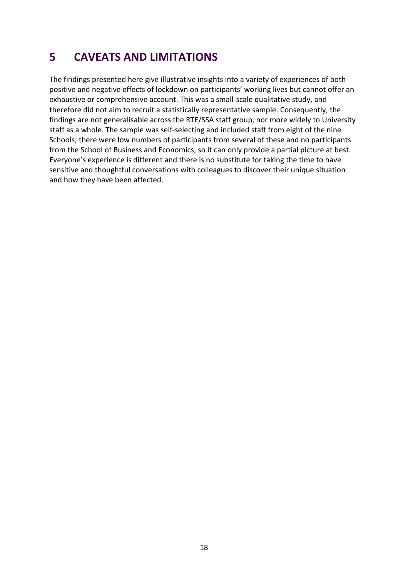# <span id="page-21-0"></span>**5 CAVEATS AND LIMITATIONS**

The findings presented here give illustrative insights into a variety of experiences of both positive and negative effects of lockdown on participants' working lives but cannot offer an exhaustive or comprehensive account. This was a small-scale qualitative study, and therefore did not aim to recruit a statistically representative sample. Consequently, the findings are not generalisable across the RTE/SSA staff group, nor more widely to University staff as a whole. The sample was self-selecting and included staff from eight of the nine Schools; there were low numbers of participants from several of these and no participants from the School of Business and Economics, so it can only provide a partial picture at best. Everyone's experience is different and there is no substitute for taking the time to have sensitive and thoughtful conversations with colleagues to discover their unique situation and how they have been affected.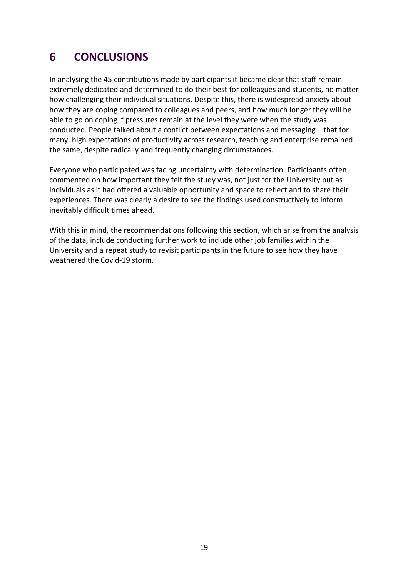# <span id="page-22-0"></span>**6 CONCLUSIONS**

In analysing the 45 contributions made by participants it became clear that staff remain extremely dedicated and determined to do their best for colleagues and students, no matter how challenging their individual situations. Despite this, there is widespread anxiety about how they are coping compared to colleagues and peers, and how much longer they will be able to go on coping if pressures remain at the level they were when the study was conducted. People talked about a conflict between expectations and messaging – that for many, high expectations of productivity across research, teaching and enterprise remained the same, despite radically and frequently changing circumstances.

Everyone who participated was facing uncertainty with determination. Participants often commented on how important they felt the study was, not just for the University but as individuals as it had offered a valuable opportunity and space to reflect and to share their experiences. There was clearly a desire to see the findings used constructively to inform inevitably difficult times ahead.

With this in mind, the recommendations following this section, which arise from the analysis of the data, include conducting further work to include other job families within the University and a repeat study to revisit participants in the future to see how they have weathered the Covid-19 storm.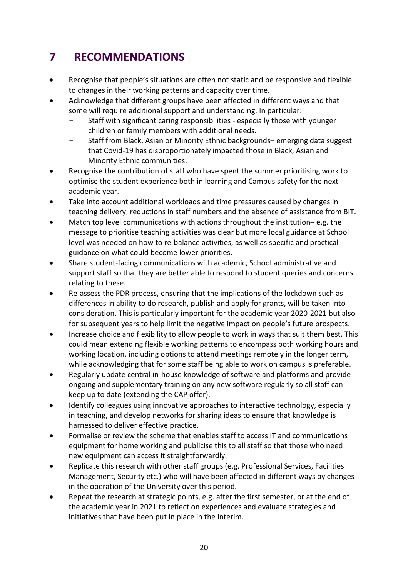# <span id="page-23-0"></span>**7 RECOMMENDATIONS**

- Recognise that people's situations are often not static and be responsive and flexible to changes in their working patterns and capacity over time.
- Acknowledge that different groups have been affected in different ways and that some will require additional support and understanding. In particular:
	- Staff with significant caring responsibilities especially those with younger children or family members with additional needs.
	- Staff from Black, Asian or Minority Ethnic backgrounds– emerging data suggest that Covid-19 has disproportionately impacted those in Black, Asian and Minority Ethnic communities.
- Recognise the contribution of staff who have spent the summer prioritising work to optimise the student experience both in learning and Campus safety for the next academic year.
- Take into account additional workloads and time pressures caused by changes in teaching delivery, reductions in staff numbers and the absence of assistance from BIT.
- Match top level communications with actions throughout the institution– e.g. the message to prioritise teaching activities was clear but more local guidance at School level was needed on how to re-balance activities, as well as specific and practical guidance on what could become lower priorities.
- Share student-facing communications with academic, School administrative and support staff so that they are better able to respond to student queries and concerns relating to these.
- Re-assess the PDR process, ensuring that the implications of the lockdown such as differences in ability to do research, publish and apply for grants, will be taken into consideration. This is particularly important for the academic year 2020-2021 but also for subsequent years to help limit the negative impact on people's future prospects.
- Increase choice and flexibility to allow people to work in ways that suit them best. This could mean extending flexible working patterns to encompass both working hours and working location, including options to attend meetings remotely in the longer term, while acknowledging that for some staff being able to work on campus is preferable.
- Regularly update central in-house knowledge of software and platforms and provide ongoing and supplementary training on any new software regularly so all staff can keep up to date (extending the CAP offer).
- Identify colleagues using innovative approaches to interactive technology, especially in teaching, and develop networks for sharing ideas to ensure that knowledge is harnessed to deliver effective practice.
- Formalise or review the scheme that enables staff to access IT and communications equipment for home working and publicise this to all staff so that those who need new equipment can access it straightforwardly.
- Replicate this research with other staff groups (e.g. Professional Services, Facilities Management, Security etc.) who will have been affected in different ways by changes in the operation of the University over this period.
- Repeat the research at strategic points, e.g. after the first semester, or at the end of the academic year in 2021 to reflect on experiences and evaluate strategies and initiatives that have been put in place in the interim.